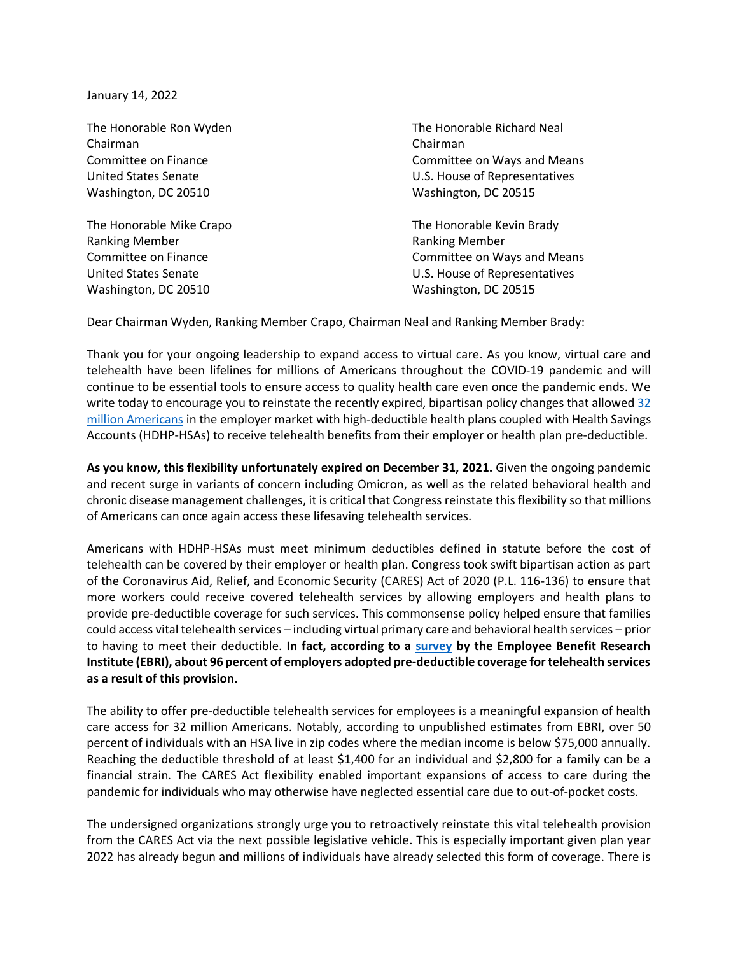January 14, 2022

Chairman Chairman Washington, DC 20510 Washington, DC 20515

Ranking Member Ranking Member Washington, DC 20510 Washington, DC 20515

The Honorable Ron Wyden The Honorable Richard Neal Committee on Finance Committee on Ways and Means United States Senate U.S. House of Representatives

The Honorable Mike Crapo The Honorable Kevin Brady Committee on Finance Committee on Ways and Means United States Senate U.S. House of Representatives

Dear Chairman Wyden, Ranking Member Crapo, Chairman Neal and Ranking Member Brady:

Thank you for your ongoing leadership to expand access to virtual care. As you know, virtual care and telehealth have been lifelines for millions of Americans throughout the COVID-19 pandemic and will continue to be essential tools to ensure access to quality health care even once the pandemic ends. We write today to encourage you to reinstate the recently expired, bipartisan policy changes that allowed [32](https://www.ahip.org/wp-content/uploads/202109-AHIP_HDHP-Survey-v03.pdf) [million Americans](https://www.ahip.org/wp-content/uploads/202109-AHIP_HDHP-Survey-v03.pdf) in the employer market with high-deductible health plans coupled with Health Savings Accounts (HDHP-HSAs) to receive telehealth benefits from their employer or health plan pre-deductible.

**As you know, this flexibility unfortunately expired on December 31, 2021.** Given the ongoing pandemic and recent surge in variants of concern including Omicron, as well as the related behavioral health and chronic disease management challenges, it is critical that Congress reinstate this flexibility so that millions of Americans can once again access these lifesaving telehealth services.

Americans with HDHP-HSAs must meet minimum deductibles defined in statute before the cost of telehealth can be covered by their employer or health plan. Congress took swift bipartisan action as part of the Coronavirus Aid, Relief, and Economic Security (CARES) Act of 2020 (P.L. 116-136) to ensure that more workers could receive covered telehealth services by allowing employers and health plans to provide pre-deductible coverage for such services. This commonsense policy helped ensure that families could access vital telehealth services – including virtual primary care and behavioral health services – prior to having to meet their deductible. **In fact, according to a [survey](https://www.ebri.org/docs/default-source/ebri-issue-brief/ebri_ib_542_hsaemployersur-14oct21.pdf?sfvrsn=73563b2f_6) by the Employee Benefit Research Institute (EBRI), about 96 percent of employers adopted pre-deductible coverage for telehealth services as a result of this provision.**

The ability to offer pre-deductible telehealth services for employees is a meaningful expansion of health care access for 32 million Americans. Notably, according to unpublished estimates from EBRI, over 50 percent of individuals with an HSA live in zip codes where the median income is below \$75,000 annually. Reaching the deductible threshold of at least \$1,400 for an individual and \$2,800 for a family can be a financial strain. The CARES Act flexibility enabled important expansions of access to care during the pandemic for individuals who may otherwise have neglected essential care due to out-of-pocket costs.

The undersigned organizations strongly urge you to retroactively reinstate this vital telehealth provision from the CARES Act via the next possible legislative vehicle. This is especially important given plan year 2022 has already begun and millions of individuals have already selected this form of coverage. There is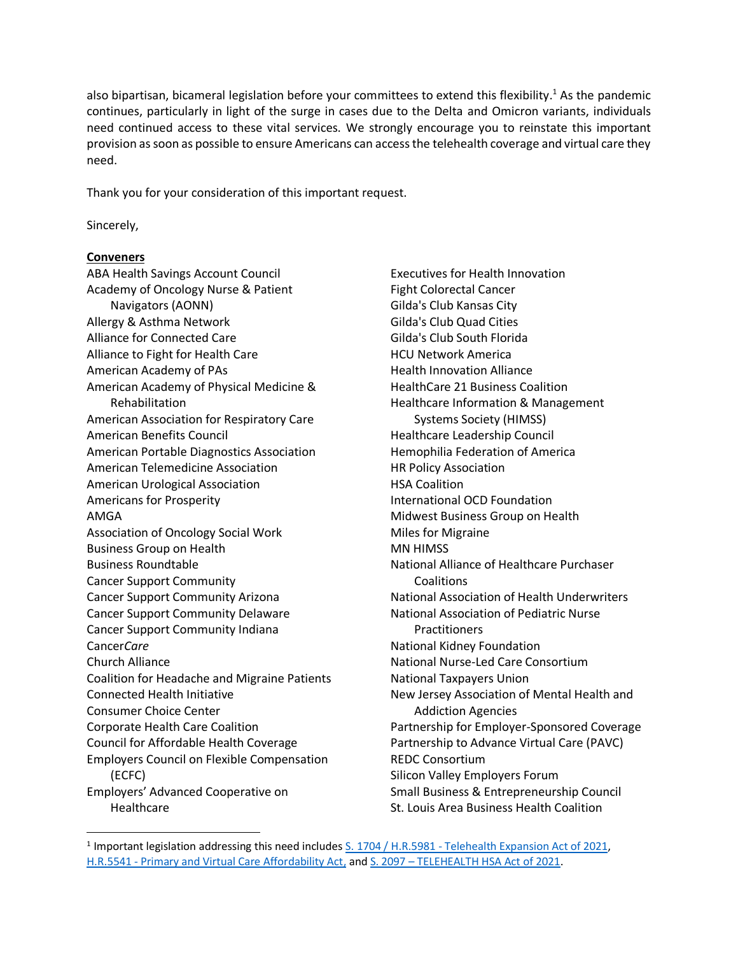also bipartisan, bicameral legislation before your committees to extend this flexibility.<sup>1</sup> As the pandemic continues, particularly in light of the surge in cases due to the Delta and Omicron variants, individuals need continued access to these vital services. We strongly encourage you to reinstate this important provision as soon as possible to ensure Americans can access the telehealth coverage and virtual care they need.

Thank you for your consideration of this important request.

Sincerely,

## **Conveners**

ABA Health Savings Account Council Academy of Oncology Nurse & Patient Navigators (AONN) Allergy & Asthma Network Alliance for Connected Care Alliance to Fight for Health Care American Academy of PAs American Academy of Physical Medicine & Rehabilitation American Association for Respiratory Care American Benefits Council American Portable Diagnostics Association American Telemedicine Association American Urological Association Americans for Prosperity AMGA Association of Oncology Social Work Business Group on Health Business Roundtable Cancer Support Community Cancer Support Community Arizona Cancer Support Community Delaware Cancer Support Community Indiana Cancer*Care* Church Alliance Coalition for Headache and Migraine Patients Connected Health Initiative Consumer Choice Center Corporate Health Care Coalition Council for Affordable Health Coverage Employers Council on Flexible Compensation (ECFC) Employers' Advanced Cooperative on **Healthcare** 

Executives for Health Innovation Fight Colorectal Cancer Gilda's Club Kansas City Gilda's Club Quad Cities Gilda's Club South Florida HCU Network America Health Innovation Alliance HealthCare 21 Business Coalition Healthcare Information & Management Systems Society (HIMSS) Healthcare Leadership Council Hemophilia Federation of America HR Policy Association HSA Coalition International OCD Foundation Midwest Business Group on Health Miles for Migraine MN HIMSS National Alliance of Healthcare Purchaser **Coalitions** National Association of Health Underwriters National Association of Pediatric Nurse **Practitioners** National Kidney Foundation National Nurse-Led Care Consortium National Taxpayers Union New Jersey Association of Mental Health and Addiction Agencies Partnership for Employer-Sponsored Coverage Partnership to Advance Virtual Care (PAVC) REDC Consortium Silicon Valley Employers Forum Small Business & Entrepreneurship Council St. Louis Area Business Health Coalition

<sup>&</sup>lt;sup>1</sup> Important legislation addressing this need includes S. 1704 / H.R.5981 - [Telehealth Expansion Act of 2021,](https://www.congress.gov/bill/117th-congress/senate-bill/1704) H.R.5541 - [Primary and Virtual Care Affordability Act,](https://www.congress.gov/bill/117th-congress/house-bill/5541) and S. 2097 – [TELEHEALTH HSA Act of 2021.](https://www.congress.gov/bill/117th-congress/senate-bill/2097?q=%7B%22search%22%3A%5B%22s.+2097%22%2C%22s.%22%2C%222097%22%5D%7D&s=1&r=1)